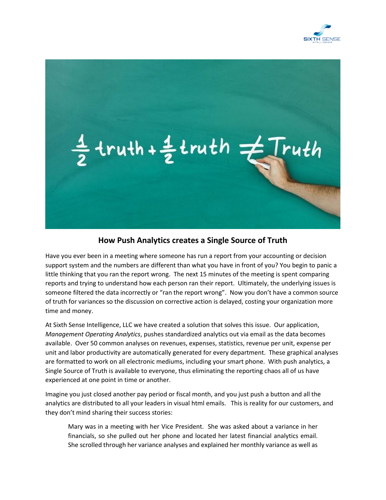



## **How Push Analytics creates a Single Source of Truth**

Have you ever been in a meeting where someone has run a report from your accounting or decision support system and the numbers are different than what you have in front of you? You begin to panic a little thinking that you ran the report wrong. The next 15 minutes of the meeting is spent comparing reports and trying to understand how each person ran their report. Ultimately, the underlying issues is someone filtered the data incorrectly or "ran the report wrong". Now you don't have a common source of truth for variances so the discussion on corrective action is delayed, costing your organization more time and money.

At Sixth Sense Intelligence, LLC we have created a solution that solves this issue. Our application, *Management Operating Analytics*, pushes standardized analytics out via email as the data becomes available. Over 50 common analyses on revenues, expenses, statistics, revenue per unit, expense per unit and labor productivity are automatically generated for every department. These graphical analyses are formatted to work on all electronic mediums, including your smart phone. With push analytics, a Single Source of Truth is available to everyone, thus eliminating the reporting chaos all of us have experienced at one point in time or another.

Imagine you just closed another pay period or fiscal month, and you just push a button and all the analytics are distributed to all your leaders in visual html emails. This is reality for our customers, and they don't mind sharing their success stories:

Mary was in a meeting with her Vice President. She was asked about a variance in her financials, so she pulled out her phone and located her latest financial analytics email. She scrolled through her variance analyses and explained her monthly variance as well as